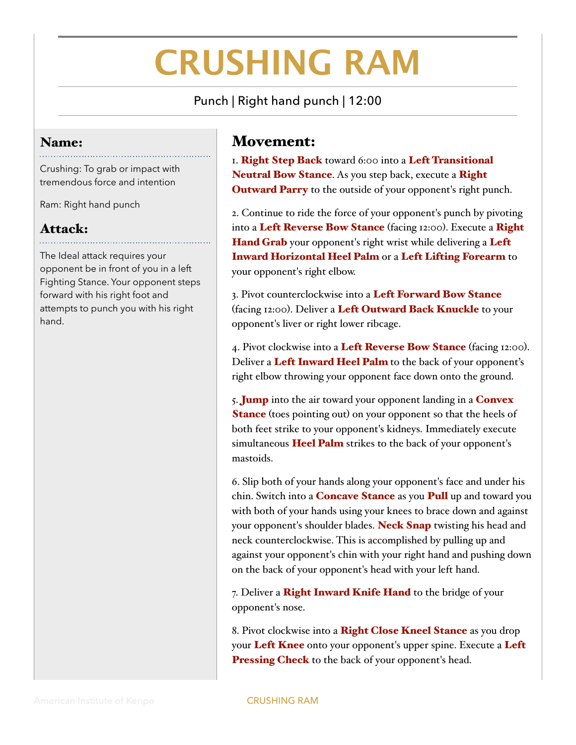## **CRUSHING RAM**

Punch | Right hand punch | 12:00

## Name:

Crushing: To grab or impact with tremendous force and intention

Ram: Right hand punch

## Attack:

The Ideal attack requires your opponent be in front of you in a left Fighting Stance. Your opponent steps forward with his right foot and attempts to punch you with his right hand.

## Movement:

I. Right Step Back toward 6:00 into a Left Transitional Neutral Bow Stance. As you step back, execute a Right **Outward Parry** to the outside of your opponent's right punch.

2. Continue to ride the force of your opponent's punch by pivoting into a Left Reverse Bow Stance (facing 12:00). Execute a Right Hand Grab your opponent's right wrist while delivering a Left Inward Horizontal Heel Palm or a Left Lifting Forearm to your opponent's right elbow.

3. Pivot counterclockwise into a Left Forward Bow Stance (facing 12:00). Deliver a Left Outward Back Knuckle to your opponent's liver or right lower ribcage.

4. Pivot clockwise into a Left Reverse Bow Stance (facing 12:00). Deliver a Left Inward Heel Palm to the back of your opponent's right elbow throwing your opponent face down onto the ground.

5. **Jump** into the air toward your opponent landing in a **Convex Stance** (toes pointing out) on your opponent so that the heels of both feet strike to your opponent's kidneys. Immediately execute simultaneous Heel Palm strikes to the back of your opponent's mastoids.

6. Slip both of your hands along your opponent's face and under his chin. Switch into a **Concave Stance** as you **Pull** up and toward you with both of your hands using your knees to brace down and against your opponent's shoulder blades. Neck Snap twisting his head and neck counterclockwise. This is accomplished by pulling up and against your opponent's chin with your right hand and pushing down on the back of your opponent's head with your left hand.

7. Deliver a Right Inward Knife Hand to the bridge of your opponent's nose.

8. Pivot clockwise into a Right Close Kneel Stance as you drop your Left Knee onto your opponent's upper spine. Execute a Left Pressing Check to the back of your opponent's head.